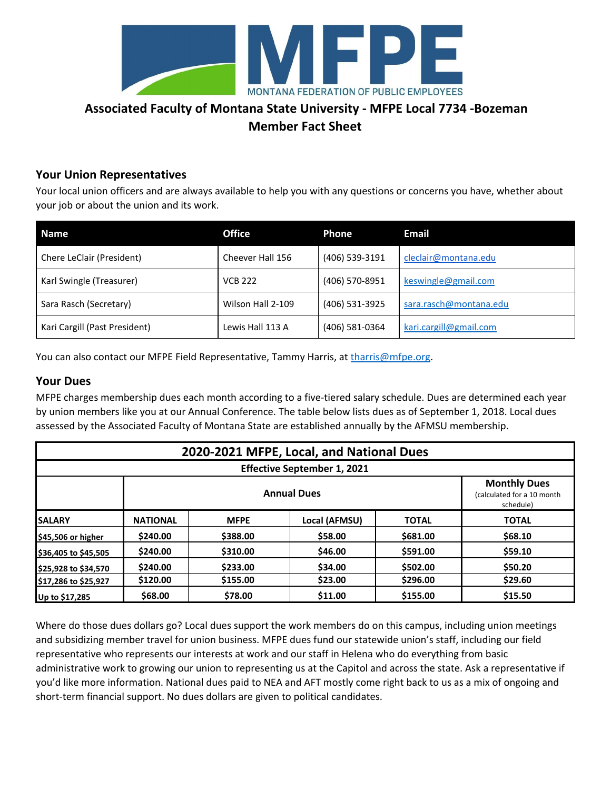

## **Associated Faculty of Montana State University - MFPE Local 7734 -Bozeman Member Fact Sheet**

#### **Your Union Representatives**

Your local union officers and are always available to help you with any questions or concerns you have, whether about your job or about the union and its work.

| <b>Name</b>                   | <b>Office</b>     | Phone          | <b>Email</b>           |
|-------------------------------|-------------------|----------------|------------------------|
| Chere LeClair (President)     | Cheever Hall 156  | (406) 539-3191 | cleclair@montana.edu   |
| Karl Swingle (Treasurer)      | <b>VCB 222</b>    | (406) 570-8951 | keswingle@gmail.com    |
| Sara Rasch (Secretary)        | Wilson Hall 2-109 | (406) 531-3925 | sara.rasch@montana.edu |
| Kari Cargill (Past President) | Lewis Hall 113 A  | (406) 581-0364 | kari.cargill@gmail.com |

You can also contact our MFPE Field Representative, Tammy Harris, at [tharris@mfpe.org](mailto:tharris@mfpe.org).

#### **Your Dues**

MFPE charges membership dues each month according to a five-tiered salary schedule. Dues are determined each year by union members like you at our Annual Conference. The table below lists dues as of September 1, 2018. Local dues assessed by the Associated Faculty of Montana State are established annually by the AFMSU membership.

| 2020-2021 MFPE, Local, and National Dues |                 |                                                                |               |              |              |  |  |
|------------------------------------------|-----------------|----------------------------------------------------------------|---------------|--------------|--------------|--|--|
| <b>Effective September 1, 2021</b>       |                 |                                                                |               |              |              |  |  |
|                                          |                 | <b>Monthly Dues</b><br>(calculated for a 10 month<br>schedule) |               |              |              |  |  |
| <b>SALARY</b>                            | <b>NATIONAL</b> | <b>MFPE</b>                                                    | Local (AFMSU) | <b>TOTAL</b> | <b>TOTAL</b> |  |  |
| \$45,506 or higher                       | \$240.00        | \$388.00                                                       | \$58.00       | \$681.00     | \$68.10      |  |  |
| \$36,405 to \$45,505                     | \$240.00        | \$310.00                                                       | \$46.00       | \$591.00     | \$59.10      |  |  |
| \$25,928 to \$34,570                     | \$240.00        | \$233.00                                                       | \$34.00       | \$502.00     | \$50.20      |  |  |
| \$17,286 to \$25,927                     | \$120.00        | \$155.00                                                       | \$23.00       | \$296.00     | \$29.60      |  |  |
| Up to \$17,285                           | \$68.00         | \$78.00                                                        | \$11.00       | \$155.00     | \$15.50      |  |  |

Where do those dues dollars go? Local dues support the work members do on this campus, including union meetings and subsidizing member travel for union business. MFPE dues fund our statewide union's staff, including our field representative who represents our interests at work and our staff in Helena who do everything from basic administrative work to growing our union to representing us at the Capitol and across the state. Ask a representative if you'd like more information. National dues paid to NEA and AFT mostly come right back to us as a mix of ongoing and short-term financial support. No dues dollars are given to political candidates.